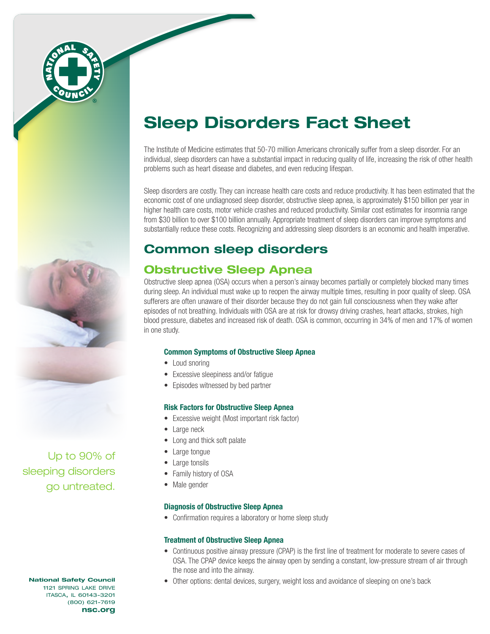

# Sleep Disorders Fact Sheet

The Institute of Medicine estimates that 50-70 million Americans chronically suffer from a sleep disorder. For an individual, sleep disorders can have a substantial impact in reducing quality of life, increasing the risk of other health problems such as heart disease and diabetes, and even reducing lifespan.

Sleep disorders are costly. They can increase health care costs and reduce productivity. It has been estimated that the economic cost of one undiagnosed sleep disorder, obstructive sleep apnea, is approximately \$150 billion per year in higher health care costs, motor vehicle crashes and reduced productivity. Similar cost estimates for insomnia range from \$30 billion to over \$100 billion annually. Appropriate treatment of sleep disorders can improve symptoms and substantially reduce these costs. Recognizing and addressing sleep disorders is an economic and health imperative.

# Common sleep disorders

# Obstructive Sleep Apnea

Obstructive sleep apnea (OSA) occurs when a person's airway becomes partially or completely blocked many times during sleep. An individual must wake up to reopen the airway multiple times, resulting in poor quality of sleep. OSA sufferers are often unaware of their disorder because they do not gain full consciousness when they wake after episodes of not breathing. Individuals with OSA are at risk for drowsy driving crashes, heart attacks, strokes, high blood pressure, diabetes and increased risk of death. OSA is common, occurring in 34% of men and 17% of women in one study.

#### Common Symptoms of Obstructive Sleep Apnea

- Loud snoring
- Excessive sleepiness and/or fatigue
- Episodes witnessed by bed partner

#### Risk Factors for Obstructive Sleep Apnea

- Excessive weight (Most important risk factor)
- Large neck
- Long and thick soft palate
- Large tongue
- Large tonsils
- Family history of OSA
- Male gender

#### Diagnosis of Obstructive Sleep Apnea

• Confirmation requires a laboratory or home sleep study

#### Treatment of Obstructive Sleep Apnea

- Continuous positive airway pressure (CPAP) is the first line of treatment for moderate to severe cases of OSA. The CPAP device keeps the airway open by sending a constant, low-pressure stream of air through the nose and into the airway.
- Other options: dental devices, surgery, weight loss and avoidance of sleeping on one's back

Up to 90% of sleeping disorders go untreated.

#### National Safety Council 1121 spring lake drive itasca, il 60143-3201 (800) 621-7619 nsc.org